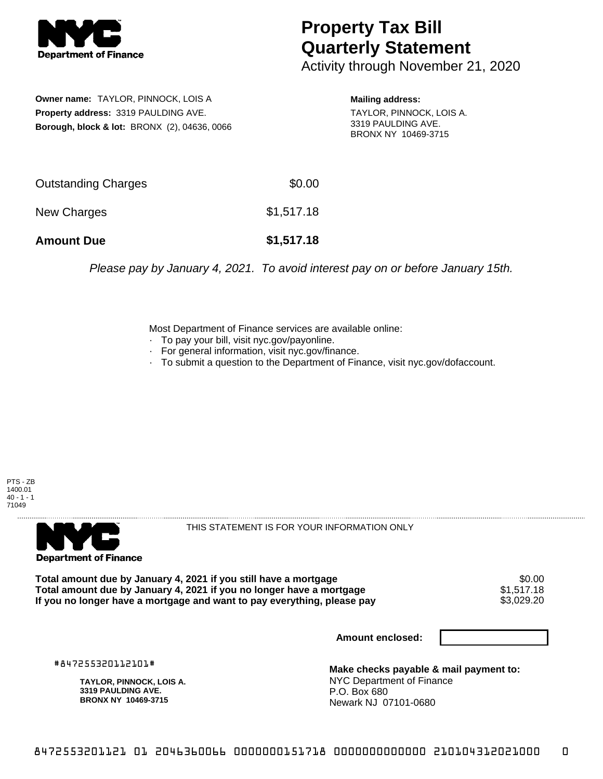

## **Property Tax Bill Quarterly Statement**

Activity through November 21, 2020

**Owner name:** TAYLOR, PINNOCK, LOIS A **Property address:** 3319 PAULDING AVE. **Borough, block & lot:** BRONX (2), 04636, 0066 **Mailing address:**

TAYLOR, PINNOCK, LOIS A. 3319 PAULDING AVE. BRONX NY 10469-3715

| <b>Amount Due</b>          | \$1,517.18 |
|----------------------------|------------|
| New Charges                | \$1,517.18 |
| <b>Outstanding Charges</b> | \$0.00     |

Please pay by January 4, 2021. To avoid interest pay on or before January 15th.

Most Department of Finance services are available online:

- · To pay your bill, visit nyc.gov/payonline.
- For general information, visit nyc.gov/finance.
- · To submit a question to the Department of Finance, visit nyc.gov/dofaccount.

PTS - ZB 1400.01 40 - 1 - 1 71049



THIS STATEMENT IS FOR YOUR INFORMATION ONLY

Total amount due by January 4, 2021 if you still have a mortgage \$0.00<br>Total amount due by January 4, 2021 if you no longer have a mortgage \$1.517.18 **Total amount due by January 4, 2021 if you no longer have a mortgage**  $$1,517.18$ **<br>If you no longer have a mortgage and want to pay everything, please pay <b>show that have a** \$3,029.20 If you no longer have a mortgage and want to pay everything, please pay

**Amount enclosed:**

#847255320112101#

**TAYLOR, PINNOCK, LOIS A. 3319 PAULDING AVE. BRONX NY 10469-3715**

**Make checks payable & mail payment to:** NYC Department of Finance P.O. Box 680 Newark NJ 07101-0680